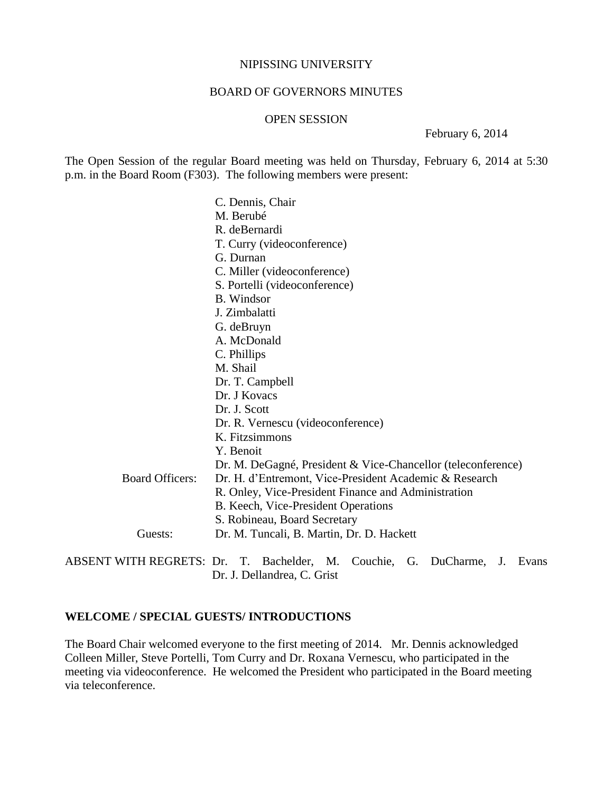#### NIPISSING UNIVERSITY

### BOARD OF GOVERNORS MINUTES

#### OPEN SESSION

February 6, 2014

The Open Session of the regular Board meeting was held on Thursday, February 6, 2014 at 5:30 p.m. in the Board Room (F303). The following members were present:

|                        | C. Dennis, Chair                                             |
|------------------------|--------------------------------------------------------------|
|                        | M. Berubé                                                    |
|                        | R. deBernardi                                                |
|                        | T. Curry (videoconference)                                   |
|                        | G. Durnan                                                    |
|                        | C. Miller (videoconference)                                  |
|                        | S. Portelli (videoconference)                                |
|                        | <b>B.</b> Windsor                                            |
|                        | J. Zimbalatti                                                |
|                        | G. deBruyn                                                   |
|                        | A. McDonald                                                  |
|                        | C. Phillips                                                  |
|                        | M. Shail                                                     |
|                        | Dr. T. Campbell                                              |
|                        | Dr. J Kovacs                                                 |
|                        | Dr. J. Scott                                                 |
|                        | Dr. R. Vernescu (videoconference)                            |
|                        | K. Fitzsimmons                                               |
|                        | Y. Benoit                                                    |
|                        | Dr. M. DeGagné, President & Vice-Chancellor (teleconference) |
| <b>Board Officers:</b> | Dr. H. d'Entremont, Vice-President Academic & Research       |
|                        | R. Onley, Vice-President Finance and Administration          |
|                        | B. Keech, Vice-President Operations                          |
|                        | S. Robineau, Board Secretary                                 |
| Guests:                | Dr. M. Tuncali, B. Martin, Dr. D. Hackett                    |
|                        |                                                              |

ABSENT WITH REGRETS: Dr. T. Bachelder, M. Couchie, G. DuCharme, J. Evans Dr. J. Dellandrea, C. Grist

## **WELCOME / SPECIAL GUESTS/ INTRODUCTIONS**

The Board Chair welcomed everyone to the first meeting of 2014. Mr. Dennis acknowledged Colleen Miller, Steve Portelli, Tom Curry and Dr. Roxana Vernescu, who participated in the meeting via videoconference. He welcomed the President who participated in the Board meeting via teleconference.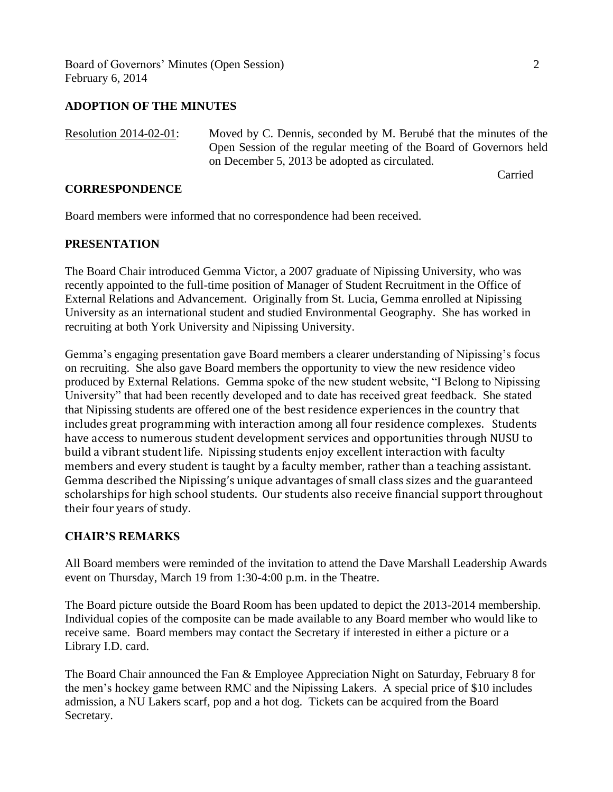Board of Governors' Minutes (Open Session) 2 February 6, 2014

## **ADOPTION OF THE MINUTES**

Resolution 2014-02-01: Moved by C. Dennis, seconded by M. Berubé that the minutes of the Open Session of the regular meeting of the Board of Governors held on December 5, 2013 be adopted as circulated.

Carried

### **CORRESPONDENCE**

Board members were informed that no correspondence had been received.

### **PRESENTATION**

The Board Chair introduced Gemma Victor, a 2007 graduate of Nipissing University, who was recently appointed to the full-time position of Manager of Student Recruitment in the Office of External Relations and Advancement. Originally from St. Lucia, Gemma enrolled at Nipissing University as an international student and studied Environmental Geography. She has worked in recruiting at both York University and Nipissing University.

Gemma's engaging presentation gave Board members a clearer understanding of Nipissing's focus on recruiting. She also gave Board members the opportunity to view the new residence video produced by External Relations. Gemma spoke of the new student website, "I Belong to Nipissing University" that had been recently developed and to date has received great feedback. She stated that Nipissing students are offered one of the best residence experiences in the country that includes great programming with interaction among all four residence complexes. Students have access to numerous student development services and opportunities through NUSU to build a vibrant student life. Nipissing students enjoy excellent interaction with faculty members and every student is taught by a faculty member, rather than a teaching assistant. Gemma described the Nipissing's unique advantages of small class sizes and the guaranteed scholarships for high school students. Our students also receive financial support throughout their four years of study.

#### **CHAIR'S REMARKS**

All Board members were reminded of the invitation to attend the Dave Marshall Leadership Awards event on Thursday, March 19 from 1:30-4:00 p.m. in the Theatre.

The Board picture outside the Board Room has been updated to depict the 2013-2014 membership. Individual copies of the composite can be made available to any Board member who would like to receive same. Board members may contact the Secretary if interested in either a picture or a Library I.D. card.

The Board Chair announced the Fan & Employee Appreciation Night on Saturday, February 8 for the men's hockey game between RMC and the Nipissing Lakers. A special price of \$10 includes admission, a NU Lakers scarf, pop and a hot dog. Tickets can be acquired from the Board Secretary.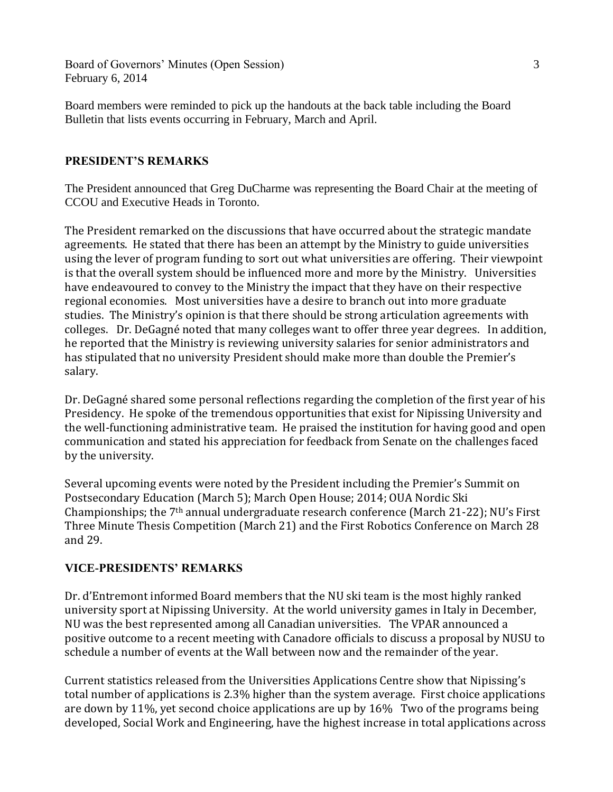Board of Governors' Minutes (Open Session) 3 February 6, 2014

Board members were reminded to pick up the handouts at the back table including the Board Bulletin that lists events occurring in February, March and April.

# **PRESIDENT'S REMARKS**

The President announced that Greg DuCharme was representing the Board Chair at the meeting of CCOU and Executive Heads in Toronto.

The President remarked on the discussions that have occurred about the strategic mandate agreements. He stated that there has been an attempt by the Ministry to guide universities using the lever of program funding to sort out what universities are offering. Their viewpoint is that the overall system should be influenced more and more by the Ministry. Universities have endeavoured to convey to the Ministry the impact that they have on their respective regional economies. Most universities have a desire to branch out into more graduate studies. The Ministry's opinion is that there should be strong articulation agreements with colleges. Dr. DeGagné noted that many colleges want to offer three year degrees. In addition, he reported that the Ministry is reviewing university salaries for senior administrators and has stipulated that no university President should make more than double the Premier's salary.

Dr. DeGagné shared some personal reflections regarding the completion of the first year of his Presidency. He spoke of the tremendous opportunities that exist for Nipissing University and the well-functioning administrative team. He praised the institution for having good and open communication and stated his appreciation for feedback from Senate on the challenges faced by the university.

Several upcoming events were noted by the President including the Premier's Summit on Postsecondary Education (March 5); March Open House; 2014; OUA Nordic Ski Championships; the 7th annual undergraduate research conference (March 21-22); NU's First Three Minute Thesis Competition (March 21) and the First Robotics Conference on March 28 and 29.

# **VICE-PRESIDENTS' REMARKS**

Dr. d'Entremont informed Board members that the NU ski team is the most highly ranked university sport at Nipissing University. At the world university games in Italy in December, NU was the best represented among all Canadian universities. The VPAR announced a positive outcome to a recent meeting with Canadore officials to discuss a proposal by NUSU to schedule a number of events at the Wall between now and the remainder of the year.

Current statistics released from the Universities Applications Centre show that Nipissing's total number of applications is 2.3% higher than the system average. First choice applications are down by 11%, yet second choice applications are up by 16% Two of the programs being developed, Social Work and Engineering, have the highest increase in total applications across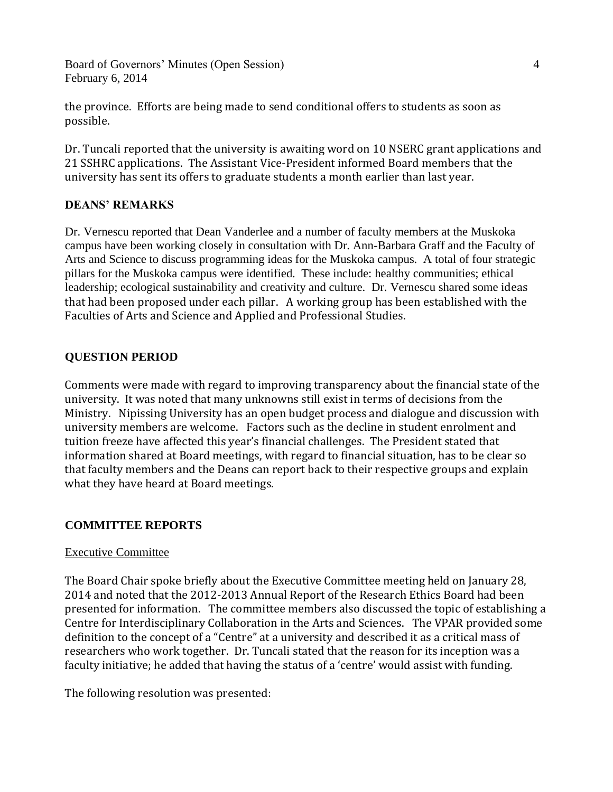Board of Governors' Minutes (Open Session) 4 February 6, 2014

the province. Efforts are being made to send conditional offers to students as soon as possible.

Dr. Tuncali reported that the university is awaiting word on 10 NSERC grant applications and 21 SSHRC applications. The Assistant Vice-President informed Board members that the university has sent its offers to graduate students a month earlier than last year.

# **DEANS' REMARKS**

Dr. Vernescu reported that Dean Vanderlee and a number of faculty members at the Muskoka campus have been working closely in consultation with Dr. Ann-Barbara Graff and the Faculty of Arts and Science to discuss programming ideas for the Muskoka campus. A total of four strategic pillars for the Muskoka campus were identified. These include: healthy communities; ethical leadership; ecological sustainability and creativity and culture. Dr. Vernescu shared some ideas that had been proposed under each pillar. A working group has been established with the Faculties of Arts and Science and Applied and Professional Studies.

# **QUESTION PERIOD**

Comments were made with regard to improving transparency about the financial state of the university. It was noted that many unknowns still exist in terms of decisions from the Ministry. Nipissing University has an open budget process and dialogue and discussion with university members are welcome. Factors such as the decline in student enrolment and tuition freeze have affected this year's financial challenges. The President stated that information shared at Board meetings, with regard to financial situation, has to be clear so that faculty members and the Deans can report back to their respective groups and explain what they have heard at Board meetings.

## **COMMITTEE REPORTS**

## Executive Committee

The Board Chair spoke briefly about the Executive Committee meeting held on January 28, 2014 and noted that the 2012-2013 Annual Report of the Research Ethics Board had been presented for information. The committee members also discussed the topic of establishing a Centre for Interdisciplinary Collaboration in the Arts and Sciences. The VPAR provided some definition to the concept of a "Centre" at a university and described it as a critical mass of researchers who work together. Dr. Tuncali stated that the reason for its inception was a faculty initiative; he added that having the status of a 'centre' would assist with funding.

The following resolution was presented: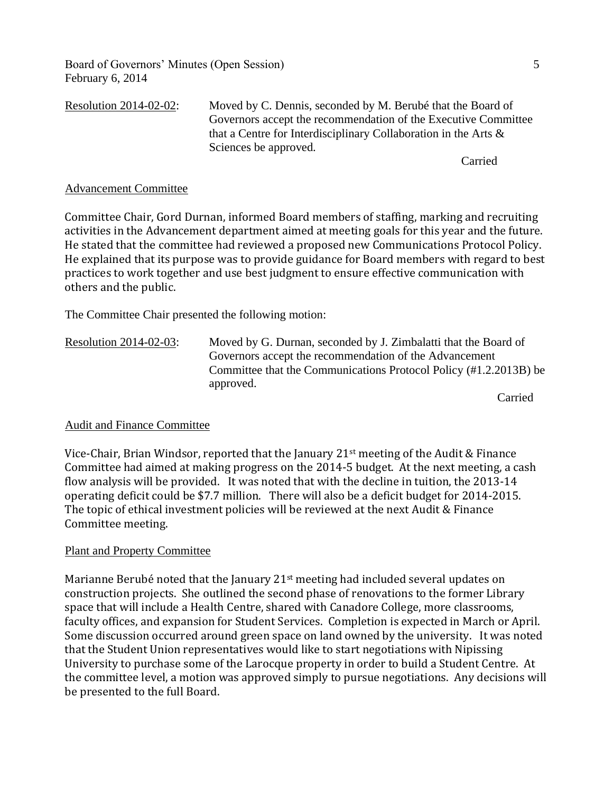Board of Governors' Minutes (Open Session) 5 February 6, 2014

Resolution 2014-02-02: Moved by C. Dennis, seconded by M. Berubé that the Board of Governors accept the recommendation of the Executive Committee that a Centre for Interdisciplinary Collaboration in the Arts & Sciences be approved.

Carried

### Advancement Committee

Committee Chair, Gord Durnan, informed Board members of staffing, marking and recruiting activities in the Advancement department aimed at meeting goals for this year and the future. He stated that the committee had reviewed a proposed new Communications Protocol Policy. He explained that its purpose was to provide guidance for Board members with regard to best practices to work together and use best judgment to ensure effective communication with others and the public.

The Committee Chair presented the following motion:

Resolution 2014-02-03: Moved by G. Durnan, seconded by J. Zimbalatti that the Board of Governors accept the recommendation of the Advancement Committee that the Communications Protocol Policy (#1.2.2013B) be approved.

Carried

#### Audit and Finance Committee

Vice-Chair, Brian Windsor, reported that the January  $21^{st}$  meeting of the Audit & Finance Committee had aimed at making progress on the 2014-5 budget. At the next meeting, a cash flow analysis will be provided. It was noted that with the decline in tuition, the 2013-14 operating deficit could be \$7.7 million. There will also be a deficit budget for 2014-2015. The topic of ethical investment policies will be reviewed at the next Audit & Finance Committee meeting.

#### Plant and Property Committee

Marianne Berubé noted that the January 21st meeting had included several updates on construction projects. She outlined the second phase of renovations to the former Library space that will include a Health Centre, shared with Canadore College, more classrooms, faculty offices, and expansion for Student Services. Completion is expected in March or April. Some discussion occurred around green space on land owned by the university. It was noted that the Student Union representatives would like to start negotiations with Nipissing University to purchase some of the Larocque property in order to build a Student Centre. At the committee level, a motion was approved simply to pursue negotiations. Any decisions will be presented to the full Board.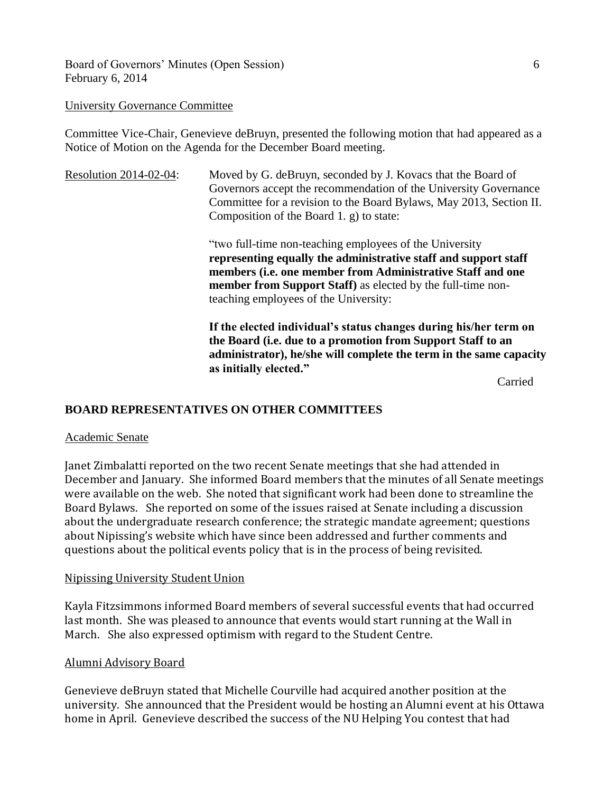Board of Governors' Minutes (Open Session) 6 February 6, 2014

### University Governance Committee

Committee Vice-Chair, Genevieve deBruyn, presented the following motion that had appeared as a Notice of Motion on the Agenda for the December Board meeting.

Resolution 2014-02-04: Moved by G. deBruyn, seconded by J. Kovacs that the Board of Governors accept the recommendation of the University Governance Committee for a revision to the Board Bylaws, May 2013, Section II. Composition of the Board 1. g) to state:

> "two full-time non-teaching employees of the University **representing equally the administrative staff and support staff members (i.e. one member from Administrative Staff and one member from Support Staff)** as elected by the full-time nonteaching employees of the University:

**If the elected individual's status changes during his/her term on the Board (i.e. due to a promotion from Support Staff to an administrator), he/she will complete the term in the same capacity as initially elected."**

Carried

# **BOARD REPRESENTATIVES ON OTHER COMMITTEES**

#### Academic Senate

Janet Zimbalatti reported on the two recent Senate meetings that she had attended in December and January. She informed Board members that the minutes of all Senate meetings were available on the web. She noted that significant work had been done to streamline the Board Bylaws. She reported on some of the issues raised at Senate including a discussion about the undergraduate research conference; the strategic mandate agreement; questions about Nipissing's website which have since been addressed and further comments and questions about the political events policy that is in the process of being revisited.

## Nipissing University Student Union

Kayla Fitzsimmons informed Board members of several successful events that had occurred last month. She was pleased to announce that events would start running at the Wall in March. She also expressed optimism with regard to the Student Centre.

## Alumni Advisory Board

Genevieve deBruyn stated that Michelle Courville had acquired another position at the university. She announced that the President would be hosting an Alumni event at his Ottawa home in April. Genevieve described the success of the NU Helping You contest that had